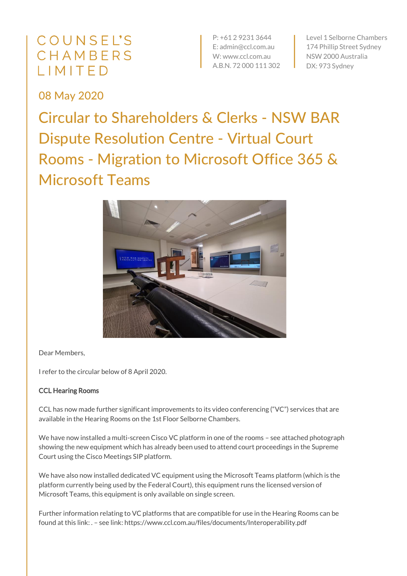## COUNSEL'S CHAMBERS LIMITED

P: +61 2 9231 3644 E: admin@ccl.com.au W: www.ccl.com.au A.B.N. 72 000 111 302

Level 1 Selborne Chambers 174 Phillip Street Sydney NSW 2000 Australia DX: 973 Sydney

08 May 2020

Circular to Shareholders & Clerks - NSW BAR Dispute Resolution Centre - Virtual Court Rooms - Migration to Microsoft Office 365 & Microsoft Teams



Dear Members,

I refer to the circular below of 8 April 2020.

## CCL Hearing Rooms

CCL has now made further significant improvements to its video conferencing ("VC") services that are available in the Hearing Rooms on the 1st Floor Selborne Chambers.

We have now installed a multi-screen Cisco VC platform in one of the rooms - see attached photograph showing the new equipment which has already been used to attend court proceedings in the Supreme Court using the Cisco Meetings SIP platform.

We have also now installed dedicated VC equipment using the Microsoft Teams platform (which is the platform currently being used by the Federal Court), this equipment runs the licensed version of Microsoft Teams, this equipment is only available on single screen.

Further information relating to VC platforms that are compatible for use in the Hearing Rooms can be found at this link: . – see link: https://www.ccl.com.au/files/documents/Interoperability.pdf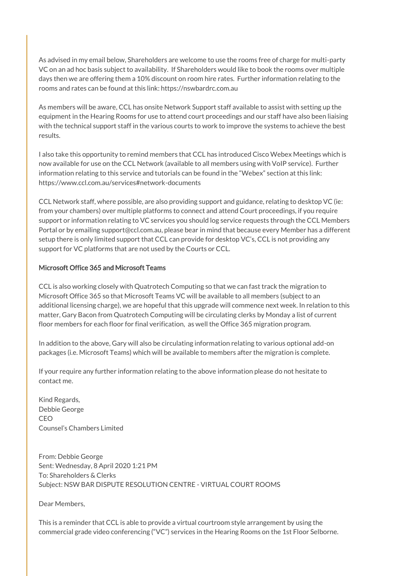As advised in my email below, Shareholders are welcome to use the rooms free of charge for multi-party VC on an ad hoc basis subject to availability. If Shareholders would like to book the rooms over multiple days then we are offering them a 10% discount on room hire rates. Further information relating to the rooms and rates can be found at this link: https://nswbardrc.com.au

As members will be aware, CCL has onsite Network Support staff available to assist with setting up the equipment in the Hearing Rooms for use to attend court proceedings and our staff have also been liaising with the technical support staff in the various courts to work to improve the systems to achieve the best results.

I also take this opportunity to remind members that CCL has introduced Cisco Webex Meetings which is now available for use on the CCL Network (available to all members using with VoIP service). Further information relating to this service and tutorials can be found in the "Webex" section at this link: https://www.ccl.com.au/services#network-documents

CCL Network staff, where possible, are also providing support and guidance, relating to desktop VC (ie: from your chambers) over multiple platforms to connect and attend Court proceedings, if you require support or information relating to VC services you should log service requests through the CCL Members Portal or by emailing support@ccl.com.au, please bear in mind that because every Member has a different setup there is only limited support that CCL can provide for desktop VC's, CCL is not providing any support for VC platforms that are not used by the Courts or CCL.

## Microsoft Office 365 and Microsoft Teams

CCL is also working closely with Quatrotech Computing so that we can fast track the migration to Microsoft Office 365 so that Microsoft Teams VC will be available to all members (subject to an additional licensing charge), we are hopeful that this upgrade will commence next week. In relation to this matter, Gary Bacon from Quatrotech Computing will be circulating clerks by Monday a list of current floor members for each floor for final verification, as well the Office 365 migration program.

In addition to the above, Gary will also be circulating information relating to various optional add-on packages (i.e. Microsoft Teams) which will be available to members after the migration is complete.

If your require any further information relating to the above information please do not hesitate to contact me.

Kind Regards, Debbie George CEO Counsel's Chambers Limited

From: Debbie George Sent: Wednesday, 8 April 2020 1:21 PM To: Shareholders & Clerks Subject: NSW BAR DISPUTE RESOLUTION CENTRE - VIRTUAL COURT ROOMS

Dear Members,

This is a reminder that CCL is able to provide a virtual courtroom style arrangement by using the commercial grade video conferencing ("VC") services in the Hearing Rooms on the 1st Floor Selborne.